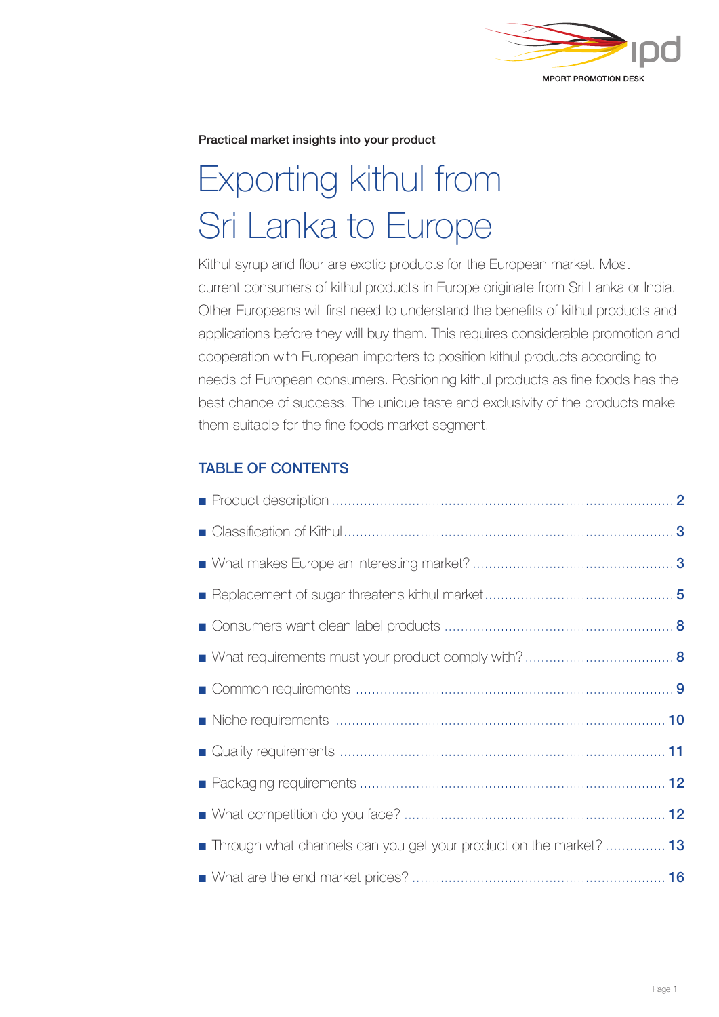

Practical market insights into your product

# Exporting kithul from Sri Lanka to Europe

Kithul syrup and flour are exotic products for the European market. Most current consumers of kithul products in Europe originate from Sri Lanka or India. Other Europeans will first need to understand the benefits of kithul products and applications before they will buy them. This requires considerable promotion and cooperation with European importers to position kithul products according to needs of European consumers. Positioning kithul products as fine foods has the best chance of success. The unique taste and exclusivity of the products make them suitable for the fine foods market segment.

# TABLE OF CONTENTS

| Through what channels can you get your product on the market?  13 |
|-------------------------------------------------------------------|
|                                                                   |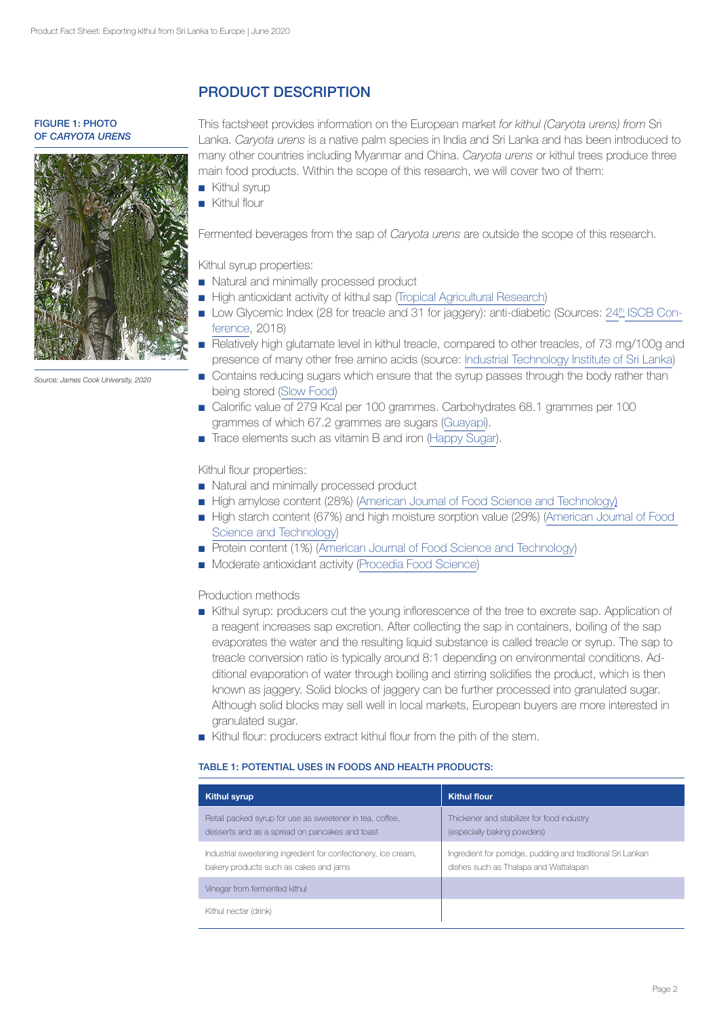FIGURE 1: PHOTO OF *CARYOTA URENS*



*Source: James Cook University, 2020*

# PRODUCT DESCRIPTION

This factsheet provides information on the European market *for kithul (Caryota urens) from* Sri Lanka. *Caryota urens* is a native palm species in India and Sri Lanka and has been introduced to many other countries including Myanmar and China. *Caryota urens* or kithul trees produce three main food products. Within the scope of this research, we will cover two of them:

- Kithul syrup
- Kithul flour

Fermented beverages from the sap of *Caryota urens* are outside the scope of this research.

Kithul syrup properties:

- Natural and minimally processed product
- High antioxidant activity of kithul sap ([Tropical Agricultural Research](https://www.pgia.ac.lk/files/Annual_congress/journel/v24_2/Journal/9.Ranasinghe.pdf))
- Low Glycemic Index (28 for treacle and 31 for jaggery): anti-diabetic (Sources: 24th [ISCB Con](http://www.iscbconference.com/)[ference,](http://www.iscbconference.com/) 2018)
- Relatively high glutamate level in kithul treacle, compared to other treacles, of 73 mg/100g and presence of many other free amino acids (source: [Industrial Technology Institute of Sri Lanka](http://archive.cmb.ac.lk:8080/research/bitstream/70130/3341/1/AnnualResearchSymposium2012UniversityofColombo.324-326.pdf))
- Contains reducing sugars which ensure that the syrup passes through the body rather than being stored ([Slow Food](https://www.fondazioneslowfood.com/en/ark-of-taste-slow-food/kitul-treacle/))
- Calorific value of 279 Kcal per 100 grammes. Carbohydrates 68.1 grammes per 100 grammes of which 67.2 grammes are sugars ([Guayapi](https://www.guayapi.com/boutique/produit/seve-de-kitul/)).
- Trace elements such as vitamin B and iron ([Happy Sugar](https://www.happysugar.co/product/happy-sugar-275g-jar-2)).

Kithul flour properties:

- Natural and minimally processed product
- High amylose content (28%) ([American Journal of Food Science and Technology](https://www.researchgate.net/publication/319358560_Kithul_Flour_Caryota_urens_as_a_Potential_Flour_Source_for_Food_Industry))
- High starch content (67%) and high moisture sorption value (29%) [\(American Journal of Food](https://www.researchgate.net/publication/319358560_Kithul_Flour_Caryota_urens_as_a_Potential_Flour_Source_for_Food_Industry) [Science and Technology](https://www.researchgate.net/publication/319358560_Kithul_Flour_Caryota_urens_as_a_Potential_Flour_Source_for_Food_Industry))
- Protein content (1%) [\(American Journal of Food Science and Technology](https://www.researchgate.net/publication/319358560_Kithul_Flour_Caryota_urens_as_a_Potential_Flour_Source_for_Food_Industry))
- Moderate antioxidant activity ([Procedia Food Science](https://www.sciencedirect.com/science/article/pii/S2211601X16000456))

Production methods

- ■ Kithul syrup: producers cut the young inflorescence of the tree to excrete sap. Application of a reagent increases sap excretion. After collecting the sap in containers, boiling of the sap evaporates the water and the resulting liquid substance is called treacle or syrup. The sap to treacle conversion ratio is typically around 8:1 depending on environmental conditions. Additional evaporation of water through boiling and stirring solidifies the product, which is then known as jaggery. Solid blocks of jaggery can be further processed into granulated sugar. Although solid blocks may sell well in local markets, European buyers are more interested in granulated sugar.
- ■ Kithul flour: producers extract kithul flour from the pith of the stem.

# TABLE 1: POTENTIAL USES IN FOODS AND HEALTH PRODUCTS:

| <b>Kithul syrup</b>                                                                                        | <b>Kithul flour</b>                                                                                  |
|------------------------------------------------------------------------------------------------------------|------------------------------------------------------------------------------------------------------|
| Retail packed syrup for use as sweetener in tea, coffee,<br>desserts and as a spread on pancakes and toast | Thickener and stabilizer for food industry<br>(especially baking powders)                            |
| Industrial sweetening ingredient for confectionery, ice cream,<br>bakery products such as cakes and jams   | Ingredient for porridge, pudding and traditional Sri Lankan<br>dishes such as Thalapa and Wattalapan |
| Vinegar from fermented kithul                                                                              |                                                                                                      |
| Kithul nectar (drink)                                                                                      |                                                                                                      |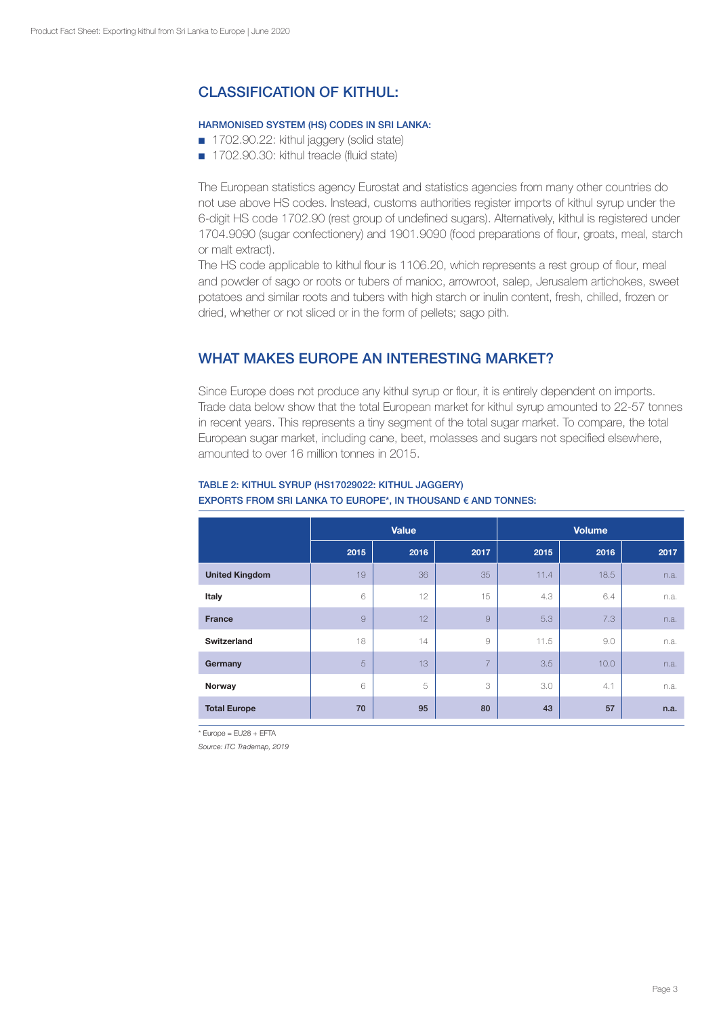# CLASSIFICATION OF KITHUL:

# HARMONISED SYSTEM (HS) CODES IN SRI LANKA:

- 1702.90.22: kithul jaggery (solid state)
- 1702.90.30: kithul treacle (fluid state)

The European statistics agency Eurostat and statistics agencies from many other countries do not use above HS codes. Instead, customs authorities register imports of kithul syrup under the 6-digit HS code 1702.90 (rest group of undefined sugars). Alternatively, kithul is registered under 1704.9090 (sugar confectionery) and 1901.9090 (food preparations of flour, groats, meal, starch or malt extract).

The HS code applicable to kithul flour is 1106.20, which represents a rest group of flour, meal and powder of sago or roots or tubers of manioc, arrowroot, salep, Jerusalem artichokes, sweet potatoes and similar roots and tubers with high starch or inulin content, fresh, chilled, frozen or dried, whether or not sliced or in the form of pellets; sago pith.

# WHAT MAKES EUROPE AN INTERESTING MARKET?

Since Europe does not produce any kithul syrup or flour, it is entirely dependent on imports. Trade data below show that the total European market for kithul syrup amounted to 22-57 tonnes in recent years. This represents a tiny segment of the total sugar market. To compare, the total European sugar market, including cane, beet, molasses and sugars not specified elsewhere, amounted to over 16 million tonnes in 2015.

|                       |      | <b>Value</b> |                | <b>Volume</b> |      |      |
|-----------------------|------|--------------|----------------|---------------|------|------|
|                       | 2015 | 2016         | 2017           | 2015          | 2016 | 2017 |
| <b>United Kingdom</b> | 19   | 36           | 35             | 11.4          | 18.5 | n.a. |
| Italy                 | 6    | 12           | 15             | 4.3           | 6.4  | n.a. |
| <b>France</b>         | 9    | 12           | 9              | 5.3           | 7.3  | n.a. |
| <b>Switzerland</b>    | 18   | 14           | 9              | 11.5          | 9.0  | n.a. |
| Germany               | 5    | 13           | $\overline{7}$ | 3.5           | 10.0 | n.a. |
| Norway                | 6    | 5            | 3              | 3.0           | 4.1  | n.a. |
| <b>Total Europe</b>   | 70   | 95           | 80             | 43            | 57   | n.a. |

# TABLE 2: KITHUL SYRUP (HS17029022: KITHUL JAGGERY)

# EXPORTS FROM SRI LANKA TO EUROPE\*, IN THOUSAND € AND TONNES:

 $*$  Europe = EU28 + EFTA

*Source: ITC Trademap, 2019*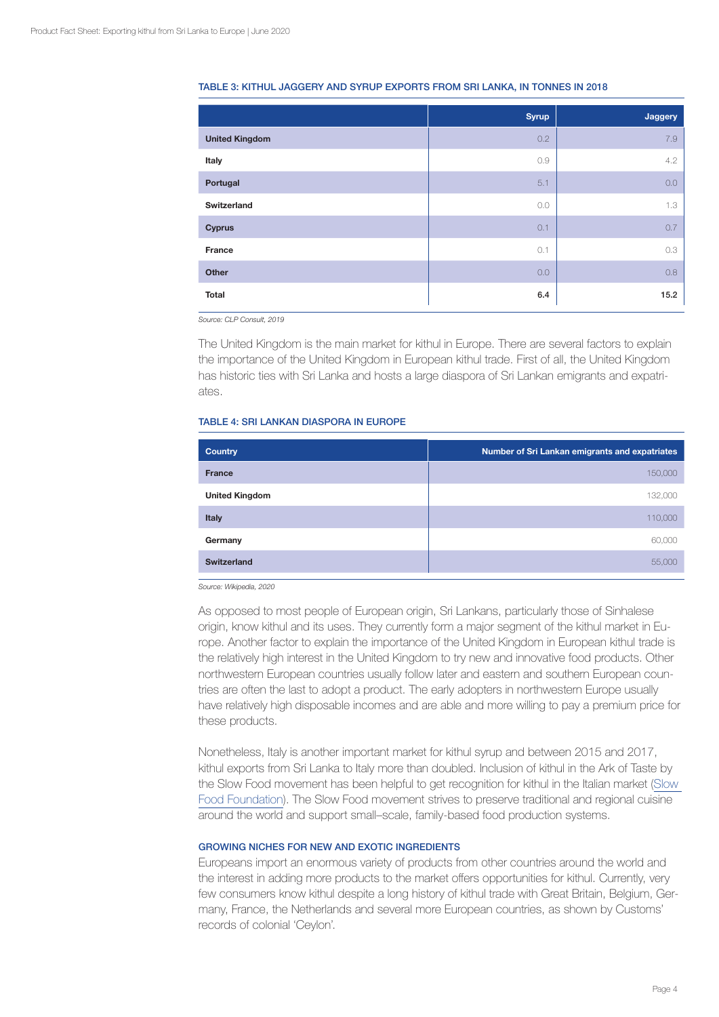|                       | <b>Syrup</b> | Jaggery |
|-----------------------|--------------|---------|
| <b>United Kingdom</b> | 0.2          | 7.9     |
| Italy                 | 0.9          | 4.2     |
| Portugal              | 5.1          | 0.0     |
| Switzerland           | 0.0          | 1.3     |
| <b>Cyprus</b>         | 0.1          | 0.7     |
| France                | 0.1          | 0.3     |
| Other                 | 0.0          | 0.8     |
| Total                 | 6.4          | 15.2    |

#### TABLE 3: KITHUL JAGGERY AND SYRUP EXPORTS FROM SRI LANKA, IN TONNES IN 2018

*Source: CLP Consult, 2019*

The United Kingdom is the main market for kithul in Europe. There are several factors to explain the importance of the United Kingdom in European kithul trade. First of all, the United Kingdom has historic ties with Sri Lanka and hosts a large diaspora of Sri Lankan emigrants and expatriates.

## TABLE 4: SRI LANKAN DIASPORA IN EUROPE

| <b>Country</b>        | Number of Sri Lankan emigrants and expatriates |
|-----------------------|------------------------------------------------|
| <b>France</b>         | 150,000                                        |
| <b>United Kingdom</b> | 132,000                                        |
| <b>Italy</b>          | 110,000                                        |
| Germany               | 60,000                                         |
| <b>Switzerland</b>    | 55,000                                         |

*Source: Wikipedia, 2020*

As opposed to most people of European origin, Sri Lankans, particularly those of Sinhalese origin, know kithul and its uses. They currently form a major segment of the kithul market in Europe. Another factor to explain the importance of the United Kingdom in European kithul trade is the relatively high interest in the United Kingdom to try new and innovative food products. Other northwestern European countries usually follow later and eastern and southern European countries are often the last to adopt a product. The early adopters in northwestern Europe usually have relatively high disposable incomes and are able and more willing to pay a premium price for these products.

Nonetheless, Italy is another important market for kithul syrup and between 2015 and 2017, kithul exports from Sri Lanka to Italy more than doubled. Inclusion of kithul in the Ark of Taste by the Slow Food movement has been helpful to get recognition for kithul in the Italian market ([Slow](https://www.fondazioneslowfood.com/en/ark-of-taste-slow-food/kitul-treacle/)  [Food Foundation](https://www.fondazioneslowfood.com/en/ark-of-taste-slow-food/kitul-treacle/)). The Slow Food movement strives to preserve traditional and regional cuisine around the world and support small–scale, family-based food production systems.

#### GROWING NICHES FOR NEW AND EXOTIC INGREDIENTS

Europeans import an enormous variety of products from other countries around the world and the interest in adding more products to the market offers opportunities for kithul. Currently, very few consumers know kithul despite a long history of kithul trade with Great Britain, Belgium, Germany, France, the Netherlands and several more European countries, as shown by Customs' records of colonial 'Ceylon'.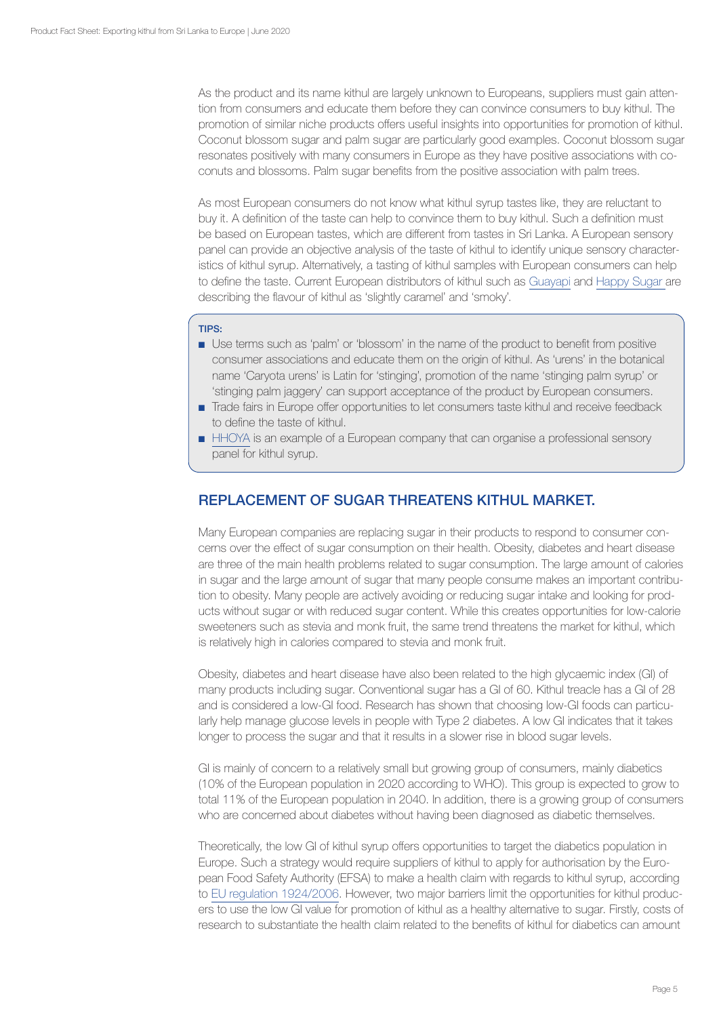As the product and its name kithul are largely unknown to Europeans, suppliers must gain attention from consumers and educate them before they can convince consumers to buy kithul. The promotion of similar niche products offers useful insights into opportunities for promotion of kithul. Coconut blossom sugar and palm sugar are particularly good examples. Coconut blossom sugar resonates positively with many consumers in Europe as they have positive associations with coconuts and blossoms. Palm sugar benefits from the positive association with palm trees.

As most European consumers do not know what kithul syrup tastes like, they are reluctant to buy it. A definition of the taste can help to convince them to buy kithul. Such a definition must be based on European tastes, which are different from tastes in Sri Lanka. A European sensory panel can provide an objective analysis of the taste of kithul to identify unique sensory characteristics of kithul syrup. Alternatively, a tasting of kithul samples with European consumers can help to define the taste. Current European distributors of kithul such as [Guayapi](https://www.guayapi.com/nos-produits/seve-de-kitul/) and [Happy Sugar](https://www.happysugar.co/product/happy-sugar-275g-jar-2) are describing the flavour of kithul as 'slightly caramel' and 'smoky'.

# TIPS:

- Use terms such as 'palm' or 'blossom' in the name of the product to benefit from positive consumer associations and educate them on the origin of kithul. As 'urens' in the botanical name 'Caryota urens' is Latin for 'stinging', promotion of the name 'stinging palm syrup' or 'stinging palm jaggery' can support acceptance of the product by European consumers.
- Trade fairs in Europe offer opportunities to let consumers taste kithul and receive feedback to define the taste of kithul.
- [HHOYA](https://hhoya.com/) is an example of a European company that can organise a professional sensory panel for kithul syrup.

# REPLACEMENT OF SUGAR THREATENS KITHUL MARKET.

Many European companies are replacing sugar in their products to respond to consumer concerns over the effect of sugar consumption on their health. Obesity, diabetes and heart disease are three of the main health problems related to sugar consumption. The large amount of calories in sugar and the large amount of sugar that many people consume makes an important contribution to obesity. Many people are actively avoiding or reducing sugar intake and looking for products without sugar or with reduced sugar content. While this creates opportunities for low-calorie sweeteners such as stevia and monk fruit, the same trend threatens the market for kithul, which is relatively high in calories compared to stevia and monk fruit.

Obesity, diabetes and heart disease have also been related to the high glycaemic index (GI) of many products including sugar. Conventional sugar has a GI of 60. Kithul treacle has a GI of 28 and is considered a low-GI food. Research has shown that choosing low-GI foods can particularly help manage glucose levels in people with Type 2 diabetes. A low GI indicates that it takes longer to process the sugar and that it results in a slower rise in blood sugar levels.

GI is mainly of concern to a relatively small but growing group of consumers, mainly diabetics (10% of the European population in 2020 according to WHO). This group is expected to grow to total 11% of the European population in 2040. In addition, there is a growing group of consumers who are concerned about diabetes without having been diagnosed as diabetic themselves.

Theoretically, the low GI of kithul syrup offers opportunities to target the diabetics population in Europe. Such a strategy would require suppliers of kithul to apply for authorisation by the European Food Safety Authority (EFSA) to make a health claim with regards to kithul syrup, according to [EU regulation 1924/2006.](https://eur-lex.europa.eu/LexUriServ/LexUriServ.do?uri=OJ:L:2006:404:0009:0025:EN:PDF) However, two major barriers limit the opportunities for kithul producers to use the low GI value for promotion of kithul as a healthy alternative to sugar. Firstly, costs of research to substantiate the health claim related to the benefits of kithul for diabetics can amount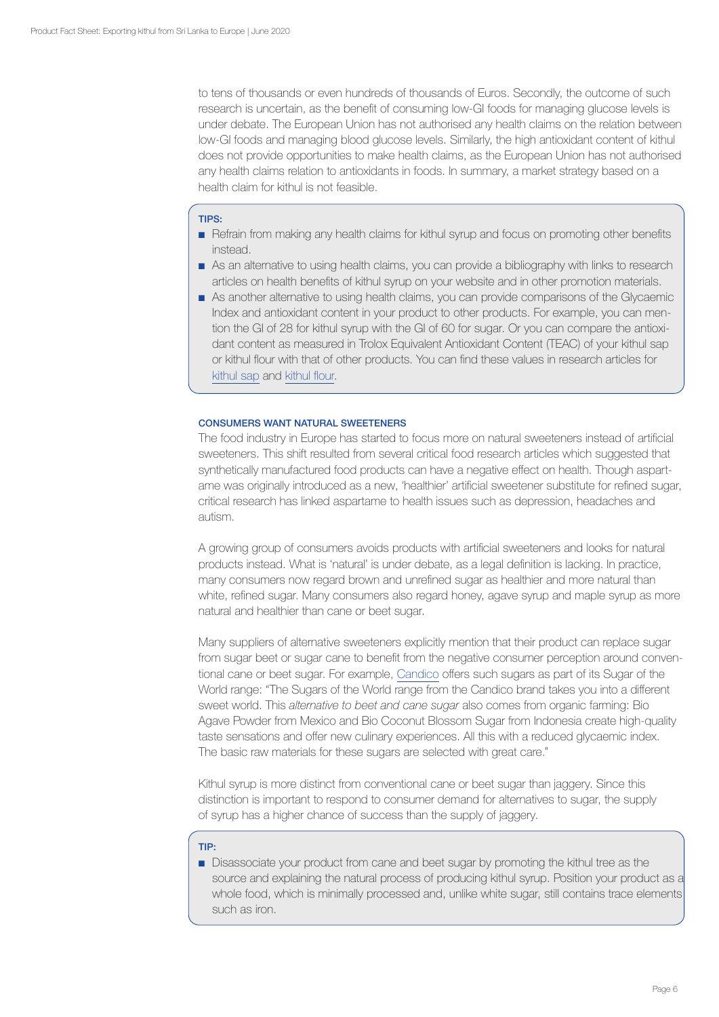to tens of thousands or even hundreds of thousands of Euros. Secondly, the outcome of such research is uncertain, as the benefit of consuming low-GI foods for managing glucose levels is under debate. The European Union has not authorised any health claims on the relation between low-GI foods and managing blood glucose levels. Similarly, the high antioxidant content of kithul does not provide opportunities to make health claims, as the European Union has not authorised any health claims relation to antioxidants in foods. In summary, a market strategy based on a health claim for kithul is not feasible.

## TIPS:

- Refrain from making any health claims for kithul syrup and focus on promoting other benefits instead.
- As an alternative to using health claims, you can provide a bibliography with links to research articles on health benefits of kithul syrup on your website and in other promotion materials.
- As another alternative to using health claims, you can provide comparisons of the Glycaemic Index and antioxidant content in your product to other products. For example, you can mention the GI of 28 for kithul syrup with the GI of 60 for sugar. Or you can compare the antioxidant content as measured in Trolox Equivalent Antioxidant Content (TEAC) of your kithul sap or kithul flour with that of other products. You can find these values in research articles for [kithul sap](https://www.pgia.ac.lk/files/Annual_congress/journel/v24_2/Journal/9.Ranasinghe.pdf) and [kithul flour.](https://www.sciencedirect.com/science/article/pii/S2211601X16000456)

## CONSUMERS WANT NATURAL SWEETENERS

The food industry in Europe has started to focus more on natural sweeteners instead of artificial sweeteners. This shift resulted from several critical food research articles which suggested that synthetically manufactured food products can have a negative effect on health. Though aspartame was originally introduced as a new, 'healthier' artificial sweetener substitute for refined sugar, critical research has linked aspartame to health issues such as depression, headaches and autism.

A growing group of consumers avoids products with artificial sweeteners and looks for natural products instead. What is 'natural' is under debate, as a legal definition is lacking. In practice, many consumers now regard brown and unrefined sugar as healthier and more natural than white, refined sugar. Many consumers also regard honey, agave syrup and maple syrup as more natural and healthier than cane or beet sugar.

Many suppliers of alternative sweeteners explicitly mention that their product can replace sugar from sugar beet or sugar cane to benefit from the negative consumer perception around conventional cane or beet sugar. For example, [Candico](https://www.tiensesuikerraffinaderij.com/producten) offers such sugars as part of its Sugar of the World range: "The Sugars of the World range from the Candico brand takes you into a different sweet world. This *alternative to beet and cane sugar* also comes from organic farming: Bio Agave Powder from Mexico and Bio Coconut Blossom Sugar from Indonesia create high-quality taste sensations and offer new culinary experiences. All this with a reduced glycaemic index. The basic raw materials for these sugars are selected with great care."

Kithul syrup is more distinct from conventional cane or beet sugar than jaggery. Since this distinction is important to respond to consumer demand for alternatives to sugar, the supply of syrup has a higher chance of success than the supply of jaggery.

# TIP:

■ Disassociate your product from cane and beet sugar by promoting the kithul tree as the source and explaining the natural process of producing kithul syrup. Position your product as a whole food, which is minimally processed and, unlike white sugar, still contains trace elements such as iron.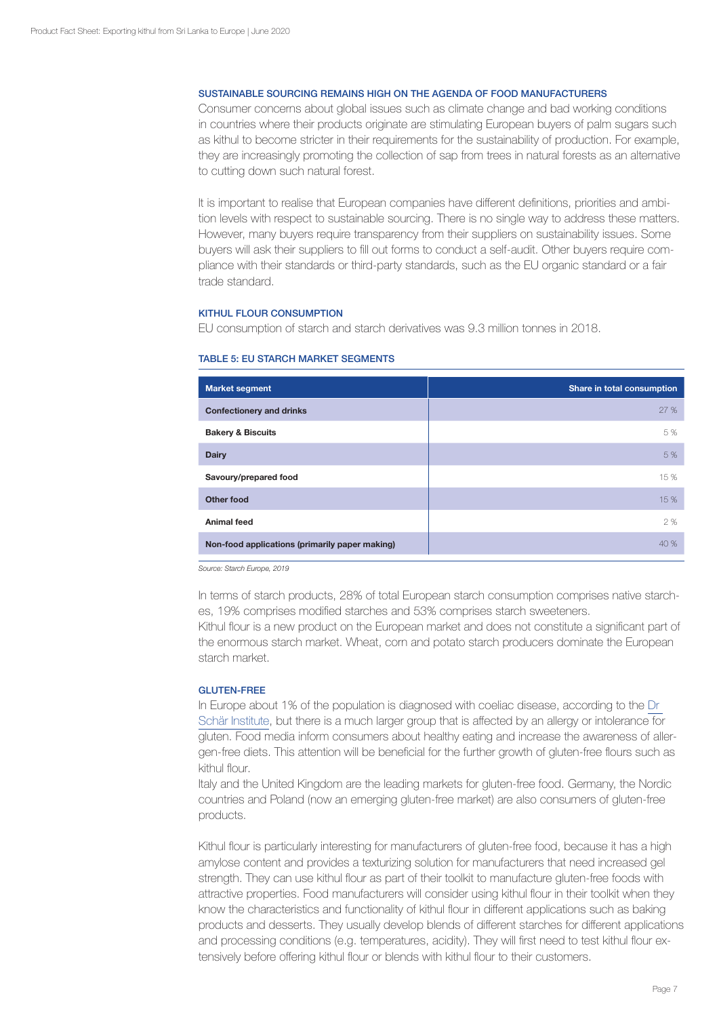## SUSTAINABLE SOURCING REMAINS HIGH ON THE AGENDA OF FOOD MANUFACTURERS

Consumer concerns about global issues such as climate change and bad working conditions in countries where their products originate are stimulating European buyers of palm sugars such as kithul to become stricter in their requirements for the sustainability of production. For example, they are increasingly promoting the collection of sap from trees in natural forests as an alternative to cutting down such natural forest.

It is important to realise that European companies have different definitions, priorities and ambition levels with respect to sustainable sourcing. There is no single way to address these matters. However, many buyers require transparency from their suppliers on sustainability issues. Some buyers will ask their suppliers to fill out forms to conduct a self-audit. Other buyers require compliance with their standards or third-party standards, such as the EU organic standard or a fair trade standard.

## KITHUL FLOUR CONSUMPTION

EU consumption of starch and starch derivatives was 9.3 million tonnes in 2018.

| <b>Market segment</b>                          | Share in total consumption |
|------------------------------------------------|----------------------------|
| <b>Confectionery and drinks</b>                | 27 %                       |
| <b>Bakery &amp; Biscuits</b>                   | 5%                         |
| <b>Dairy</b>                                   | 5 %                        |
| Savoury/prepared food                          | 15 %                       |
| Other food                                     | 15 %                       |
| <b>Animal feed</b>                             | 2 %                        |
| Non-food applications (primarily paper making) | 40 %                       |

#### TABLE 5: EU STARCH MARKET SEGMENTS

*Source: Starch Europe, 2019*

In terms of starch products, 28% of total European starch consumption comprises native starches, 19% comprises modified starches and 53% comprises starch sweeteners.

Kithul flour is a new product on the European market and does not constitute a significant part of the enormous starch market. Wheat, corn and potato starch producers dominate the European starch market.

#### GLUTEN-FREE

In Europe about 1% of the population is diagnosed with coeliac disease, according to the [Dr](https://www.drschaer.com/uk/institute/a/prevalence-coeliac-disease)  [Schär Institute](https://www.drschaer.com/uk/institute/a/prevalence-coeliac-disease), but there is a much larger group that is affected by an allergy or intolerance for gluten. Food media inform consumers about healthy eating and increase the awareness of allergen-free diets. This attention will be beneficial for the further growth of gluten-free flours such as kithul flour.

Italy and the United Kingdom are the leading markets for gluten-free food. Germany, the Nordic countries and Poland (now an emerging gluten-free market) are also consumers of gluten-free products.

Kithul flour is particularly interesting for manufacturers of gluten-free food, because it has a high amylose content and provides a texturizing solution for manufacturers that need increased gel strength. They can use kithul flour as part of their toolkit to manufacture gluten-free foods with attractive properties. Food manufacturers will consider using kithul flour in their toolkit when they know the characteristics and functionality of kithul flour in different applications such as baking products and desserts. They usually develop blends of different starches for different applications and processing conditions (e.g. temperatures, acidity). They will first need to test kithul flour extensively before offering kithul flour or blends with kithul flour to their customers.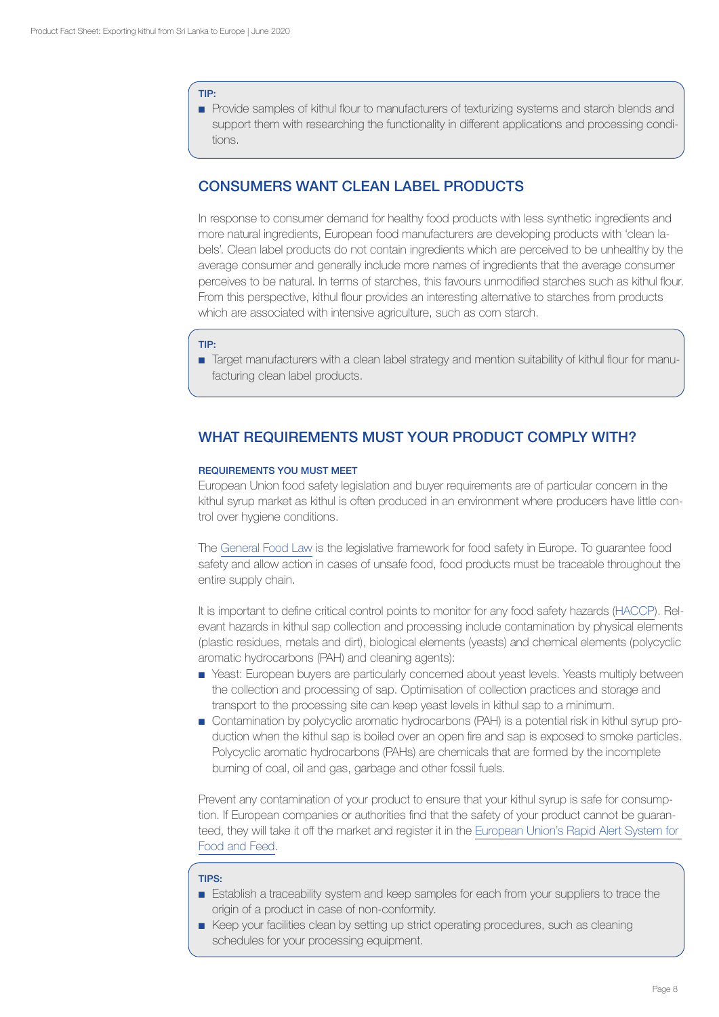#### TIP:

■ Provide samples of kithul flour to manufacturers of texturizing systems and starch blends and support them with researching the functionality in different applications and processing conditions.

# CONSUMERS WANT CLEAN LABEL PRODUCTS

In response to consumer demand for healthy food products with less synthetic ingredients and more natural ingredients, European food manufacturers are developing products with 'clean labels'. Clean label products do not contain ingredients which are perceived to be unhealthy by the average consumer and generally include more names of ingredients that the average consumer perceives to be natural. In terms of starches, this favours unmodified starches such as kithul flour. From this perspective, kithul flour provides an interesting alternative to starches from products which are associated with intensive agriculture, such as corn starch.

#### TIP:

■ Target manufacturers with a clean label strategy and mention suitability of kithul flour for manufacturing clean label products.

# WHAT REQUIREMENTS MUST YOUR PRODUCT COMPLY WITH?

## REQUIREMENTS YOU MUST MEET

European Union food safety legislation and buyer requirements are of particular concern in the kithul syrup market as kithul is often produced in an environment where producers have little control over hygiene conditions.

The [General Food Law](http://ec.europa.eu/food/food/foodlaw/index_en.htm) is the legislative framework for food safety in Europe. To guarantee food safety and allow action in cases of unsafe food, food products must be traceable throughout the entire supply chain.

It is important to define critical control points to monitor for any food safety hazards ([HACCP](http://www.fao.org/docrep/005/y1579E/y1579e03.htm)). Relevant hazards in kithul sap collection and processing include contamination by physical elements (plastic residues, metals and dirt), biological elements (yeasts) and chemical elements (polycyclic aromatic hydrocarbons (PAH) and cleaning agents):

- Yeast: European buyers are particularly concerned about yeast levels. Yeasts multiply between the collection and processing of sap. Optimisation of collection practices and storage and transport to the processing site can keep yeast levels in kithul sap to a minimum.
- Contamination by polycyclic aromatic hydrocarbons (PAH) is a potential risk in kithul syrup production when the kithul sap is boiled over an open fire and sap is exposed to smoke particles. Polycyclic aromatic hydrocarbons (PAHs) are chemicals that are formed by the incomplete burning of coal, oil and gas, garbage and other fossil fuels.

Prevent any contamination of your product to ensure that your kithul syrup is safe for consumption. If European companies or authorities find that the safety of your product cannot be guaranteed, they will take it off the market and register it in the [European Union's Rapid Alert System for](https://webgate.ec.europa.eu/rasff-window/portal/?event=SearchForm)  [Food and Feed.](https://webgate.ec.europa.eu/rasff-window/portal/?event=SearchForm)

#### TIPS:

- Establish a traceability system and keep samples for each from your suppliers to trace the origin of a product in case of non-conformity.
- Keep your facilities clean by setting up strict operating procedures, such as cleaning schedules for your processing equipment.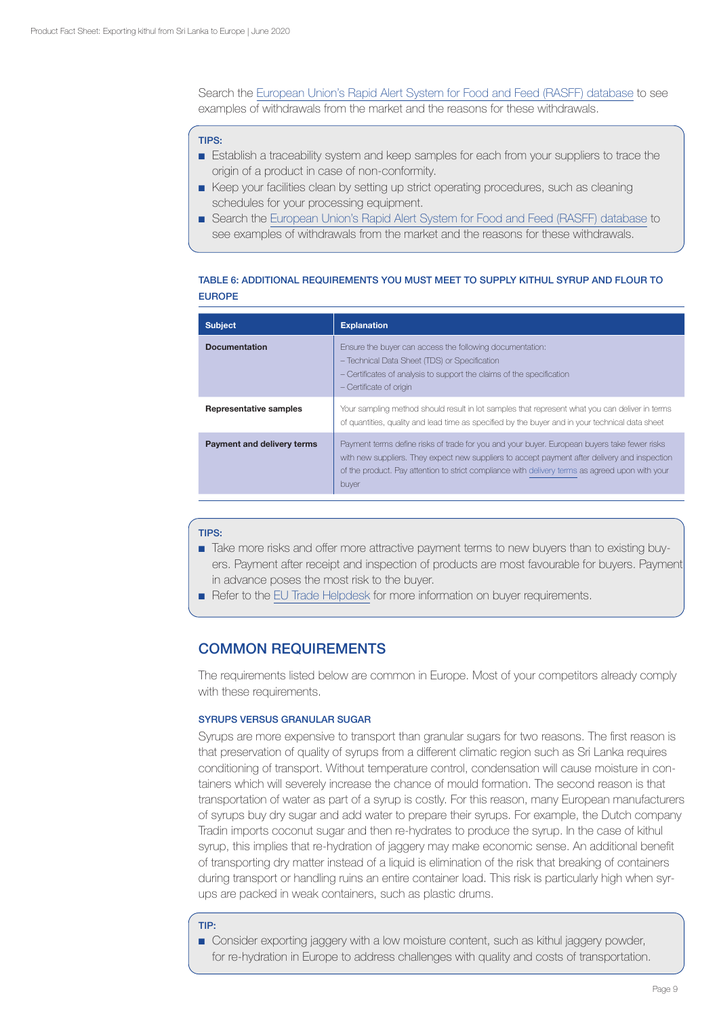Search the [European Union's Rapid Alert System for Food and Feed \(RASFF\) database](https://webgate.ec.europa.eu/rasff-window/portal/?event=SearchForm) to see examples of withdrawals from the market and the reasons for these withdrawals.

# TIPS:

- Establish a traceability system and keep samples for each from your suppliers to trace the origin of a product in case of non-conformity.
- Keep your facilities clean by setting up strict operating procedures, such as cleaning schedules for your processing equipment.
- Search the [European Union's Rapid Alert System for Food and Feed \(RASFF\) database](https://webgate.ec.europa.eu/rasff-window/portal/?event=SearchForm) to see examples of withdrawals from the market and the reasons for these withdrawals.

# TABLE 6: ADDITIONAL REQUIREMENTS YOU MUST MEET TO SUPPLY KITHUL SYRUP AND FLOUR TO EUROPE

| <b>Subject</b>                | <b>Explanation</b>                                                                                                                                                                                                                                                                                        |
|-------------------------------|-----------------------------------------------------------------------------------------------------------------------------------------------------------------------------------------------------------------------------------------------------------------------------------------------------------|
| <b>Documentation</b>          | Ensure the buyer can access the following documentation:<br>- Technical Data Sheet (TDS) or Specification<br>- Certificates of analysis to support the claims of the specification<br>- Certificate of origin                                                                                             |
| <b>Representative samples</b> | Your sampling method should result in lot samples that represent what you can deliver in terms<br>of quantities, quality and lead time as specified by the buyer and in your technical data sheet                                                                                                         |
| Payment and delivery terms    | Payment terms define risks of trade for you and your buyer. European buyers take fewer risks<br>with new suppliers. They expect new suppliers to accept payment after delivery and inspection<br>of the product. Pay attention to strict compliance with delivery terms as agreed upon with your<br>buyer |

#### TIPS:

- Take more risks and offer more attractive payment terms to new buyers than to existing buyers. Payment after receipt and inspection of products are most favourable for buyers. Payment in advance poses the most risk to the buyer.
- Refer to the [EU Trade Helpdesk](https://trade.ec.europa.eu/tradehelp/) for more information on buyer requirements.

# COMMON REQUIREMENTS

The requirements listed below are common in Europe. Most of your competitors already comply with these requirements.

# SYRUPS VERSUS GRANULAR SUGAR

Syrups are more expensive to transport than granular sugars for two reasons. The first reason is that preservation of quality of syrups from a different climatic region such as Sri Lanka requires conditioning of transport. Without temperature control, condensation will cause moisture in containers which will severely increase the chance of mould formation. The second reason is that transportation of water as part of a syrup is costly. For this reason, many European manufacturers of syrups buy dry sugar and add water to prepare their syrups. For example, the Dutch company Tradin imports coconut sugar and then re-hydrates to produce the syrup. In the case of kithul syrup, this implies that re-hydration of jaggery may make economic sense. An additional benefit of transporting dry matter instead of a liquid is elimination of the risk that breaking of containers during transport or handling ruins an entire container load. This risk is particularly high when syrups are packed in weak containers, such as plastic drums.

#### TIP:

■ Consider exporting jaggery with a low moisture content, such as kithul jaggery powder, for re-hydration in Europe to address challenges with quality and costs of transportation.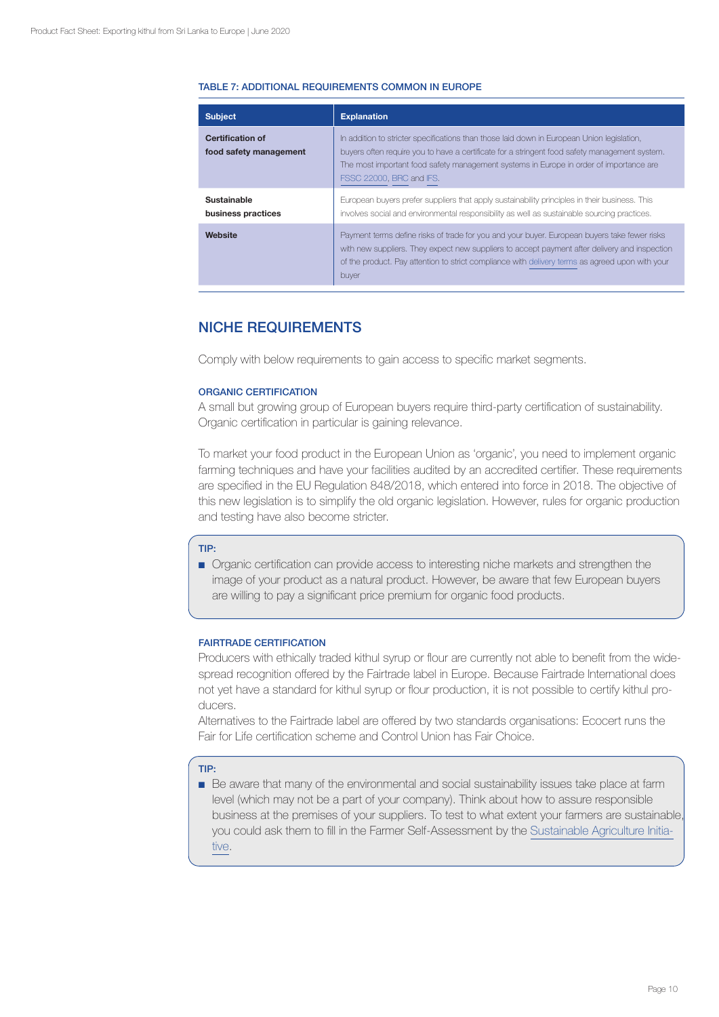# TABLE 7: ADDITIONAL REQUIREMENTS COMMON IN EUROPE

| <b>Subject</b>                                    | <b>Explanation</b>                                                                                                                                                                                                                                                                                                |
|---------------------------------------------------|-------------------------------------------------------------------------------------------------------------------------------------------------------------------------------------------------------------------------------------------------------------------------------------------------------------------|
| <b>Certification of</b><br>food safety management | In addition to stricter specifications than those laid down in European Union legislation,<br>buyers often require you to have a certificate for a stringent food safety management system.<br>The most important food safety management systems in Europe in order of importance are<br>FSSC 22000, BRC and IFS. |
| Sustainable<br>business practices                 | European buyers prefer suppliers that apply sustainability principles in their business. This<br>involves social and environmental responsibility as well as sustainable sourcing practices.                                                                                                                      |
| Website                                           | Payment terms define risks of trade for you and your buyer. European buyers take fewer risks<br>with new suppliers. They expect new suppliers to accept payment after delivery and inspection<br>of the product. Pay attention to strict compliance with delivery terms as agreed upon with your<br>buyer         |

# NICHE REQUIREMENTS

Comply with below requirements to gain access to specific market segments.

# ORGANIC CERTIFICATION

A small but growing group of European buyers require third-party certification of sustainability. Organic certification in particular is gaining relevance.

To market your food product in the European Union as 'organic', you need to implement organic farming techniques and have your facilities audited by an accredited certifier. These requirements are specified in the EU Regulation 848/2018, which entered into force in 2018. The objective of this new legislation is to simplify the old organic legislation. However, rules for organic production and testing have also become stricter.

#### TIP:

■ Organic certification can provide access to interesting niche markets and strengthen the image of your product as a natural product. However, be aware that few European buyers are willing to pay a significant price premium for organic food products.

# FAIRTRADE CERTIFICATION

Producers with ethically traded kithul syrup or flour are currently not able to benefit from the widespread recognition offered by the Fairtrade label in Europe. Because Fairtrade International does not yet have a standard for kithul syrup or flour production, it is not possible to certify kithul producers.

Alternatives to the Fairtrade label are offered by two standards organisations: Ecocert runs the Fair for Life certification scheme and Control Union has Fair Choice.

## TIP:

■ Be aware that many of the environmental and social sustainability issues take place at farm level (which may not be a part of your company). Think about how to assure responsible business at the premises of your suppliers. To test to what extent your farmers are sustainable, you could ask them to fill in the Farmer Self-Assessment by the [Sustainable Agriculture Initia](http://www.saiplatform.org/)[tive.](http://www.saiplatform.org/)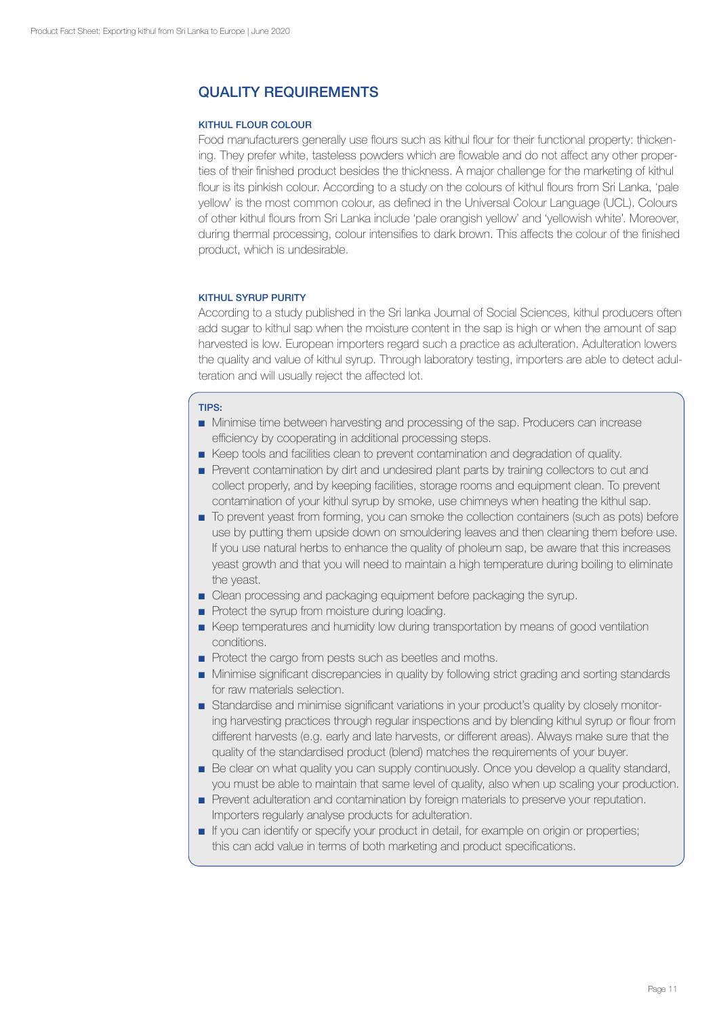# QUALITY REQUIREMENTS

# KITHUL FLOUR COLOUR

Food manufacturers generally use flours such as kithul flour for their functional property: thickening. They prefer white, tasteless powders which are flowable and do not affect any other properties of their finished product besides the thickness. A major challenge for the marketing of kithul flour is its pinkish colour. According to a study on the colours of kithul flours from Sri Lanka, 'pale yellow' is the most common colour, as defined in the Universal Colour Language (UCL). Colours of other kithul flours from Sri Lanka include 'pale orangish yellow' and 'yellowish white'. Moreover, during thermal processing, colour intensifies to dark brown. This affects the colour of the finished product, which is undesirable.

# KITHUL SYRUP PURITY

According to a study published in the Sri lanka Journal of Social Sciences, kithul producers often add sugar to kithul sap when the moisture content in the sap is high or when the amount of sap harvested is low. European importers regard such a practice as adulteration. Adulteration lowers the quality and value of kithul syrup. Through laboratory testing, importers are able to detect adulteration and will usually reject the affected lot.

# TIPS:

- ■ Minimise time between harvesting and processing of the sap. Producers can increase efficiency by cooperating in additional processing steps.
- Keep tools and facilities clean to prevent contamination and degradation of quality.
- Prevent contamination by dirt and undesired plant parts by training collectors to cut and collect properly, and by keeping facilities, storage rooms and equipment clean. To prevent contamination of your kithul syrup by smoke, use chimneys when heating the kithul sap.
- To prevent yeast from forming, you can smoke the collection containers (such as pots) before use by putting them upside down on smouldering leaves and then cleaning them before use. If you use natural herbs to enhance the quality of pholeum sap, be aware that this increases yeast growth and that you will need to maintain a high temperature during boiling to eliminate the yeast.
- Clean processing and packaging equipment before packaging the syrup.
- Protect the syrup from moisture during loading.
- Keep temperatures and humidity low during transportation by means of good ventilation conditions.
- Protect the cargo from pests such as beetles and moths.
- Minimise significant discrepancies in quality by following strict grading and sorting standards for raw materials selection.
- Standardise and minimise significant variations in your product's quality by closely monitoring harvesting practices through regular inspections and by blending kithul syrup or flour from different harvests (e.g. early and late harvests, or different areas). Always make sure that the quality of the standardised product (blend) matches the requirements of your buyer.
- Be clear on what quality you can supply continuously. Once you develop a quality standard, you must be able to maintain that same level of quality, also when up scaling your production.
- Prevent adulteration and contamination by foreign materials to preserve your reputation. Importers regularly analyse products for adulteration.
- ■ If you can identify or specify your product in detail, for example on origin or properties; this can add value in terms of both marketing and product specifications.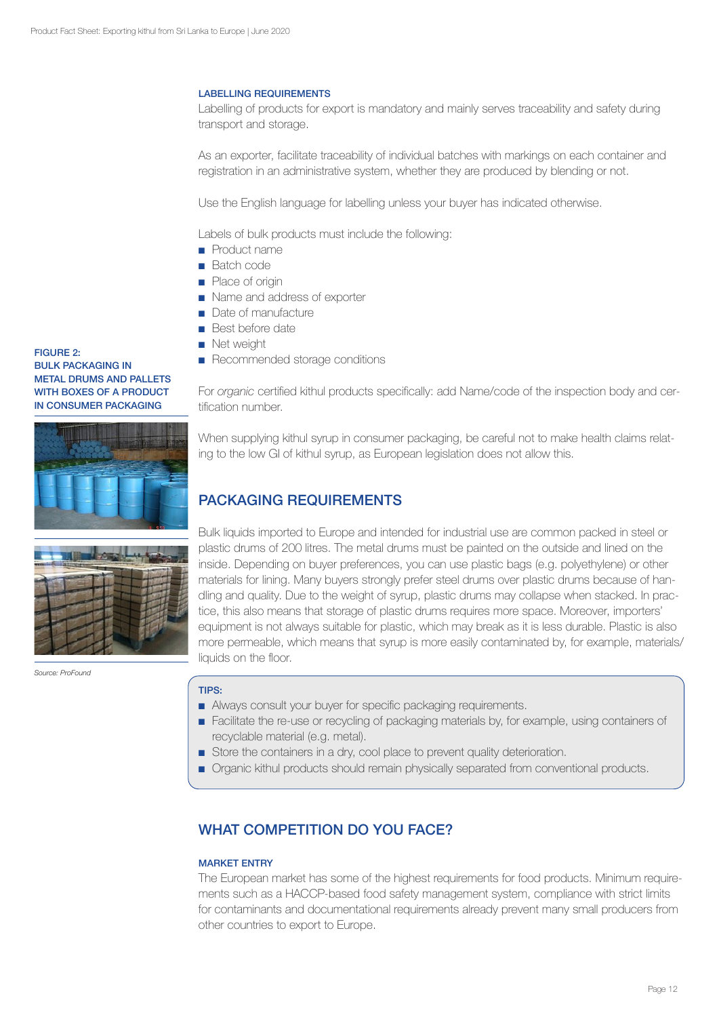## LABELLING REQUIREMENTS

Labelling of products for export is mandatory and mainly serves traceability and safety during transport and storage.

As an exporter, facilitate traceability of individual batches with markings on each container and registration in an administrative system, whether they are produced by blending or not.

Use the English language for labelling unless your buyer has indicated otherwise.

Labels of bulk products must include the following:

- Product name
- Batch code
- Place of origin
- Name and address of exporter
- Date of manufacture
- Best before date
- Net weight
- Recommended storage conditions

For *organic* certified kithul products specifically: add Name/code of the inspection body and certification number.

When supplying kithul syrup in consumer packaging, be careful not to make health claims relating to the low GI of kithul syrup, as European legislation does not allow this.

# PACKAGING REQUIREMENTS

Bulk liquids imported to Europe and intended for industrial use are common packed in steel or plastic drums of 200 litres. The metal drums must be painted on the outside and lined on the inside. Depending on buyer preferences, you can use plastic bags (e.g. polyethylene) or other materials for lining. Many buyers strongly prefer steel drums over plastic drums because of handling and quality. Due to the weight of syrup, plastic drums may collapse when stacked. In practice, this also means that storage of plastic drums requires more space. Moreover, importers' equipment is not always suitable for plastic, which may break as it is less durable. Plastic is also more permeable, which means that syrup is more easily contaminated by, for example, materials/ liquids on the floor.

# TIPS:

- Always consult your buyer for specific packaging requirements.
- Facilitate the re-use or recycling of packaging materials by, for example, using containers of recyclable material (e.g. metal).
- Store the containers in a dry, cool place to prevent quality deterioration.
- Organic kithul products should remain physically separated from conventional products.

# WHAT COMPETITION DO YOU FACE?

# MARKET ENTRY

The European market has some of the highest requirements for food products. Minimum requirements such as a HACCP-based food safety management system, compliance with strict limits for contaminants and documentational requirements already prevent many small producers from other countries to export to Europe.

## FIGURE 2: BULK PACKAGING IN METAL DRUMS AND PALLETS WITH BOXES OF A PRODUCT IN CONSUMER PACKAGING





*Source: ProFound*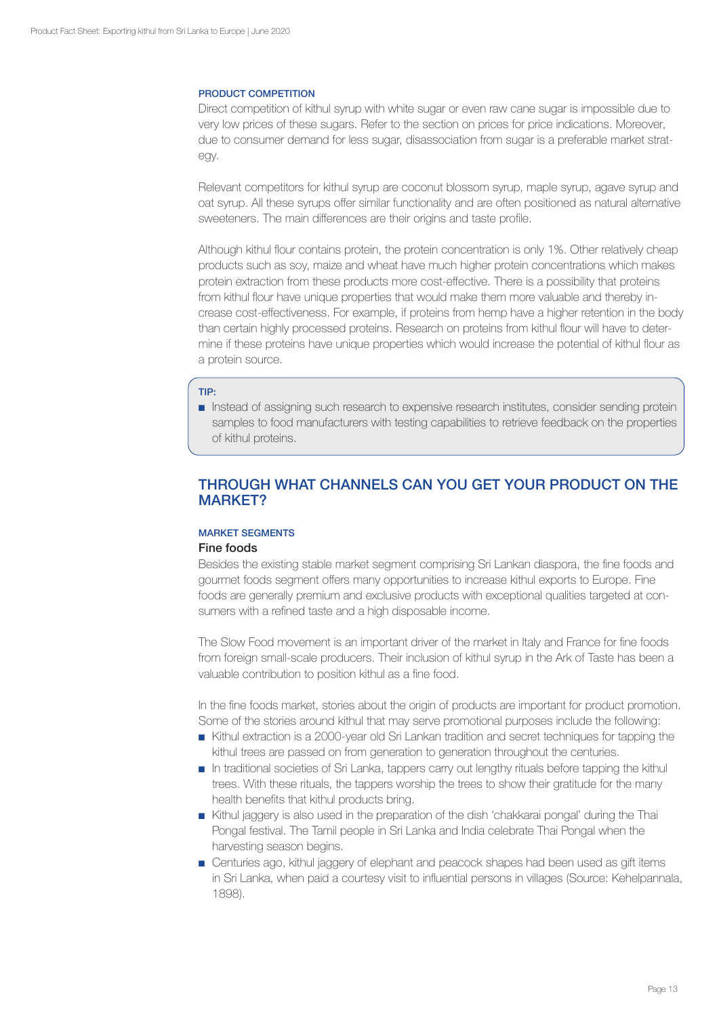## PRODUCT COMPETITION

Direct competition of kithul syrup with white sugar or even raw cane sugar is impossible due to very low prices of these sugars. Refer to the section on prices for price indications. Moreover, due to consumer demand for less sugar, disassociation from sugar is a preferable market strategy.

Relevant competitors for kithul syrup are coconut blossom syrup, maple syrup, agave syrup and oat syrup. All these syrups offer similar functionality and are often positioned as natural alternative sweeteners. The main differences are their origins and taste profile.

Although kithul flour contains protein, the protein concentration is only 1%. Other relatively cheap products such as soy, maize and wheat have much higher protein concentrations which makes protein extraction from these products more cost-effective. There is a possibility that proteins from kithul flour have unique properties that would make them more valuable and thereby increase cost-effectiveness. For example, if proteins from hemp have a higher retention in the body than certain highly processed proteins. Research on proteins from kithul flour will have to determine if these proteins have unique properties which would increase the potential of kithul flour as a protein source.

#### TIP:

■ Instead of assigning such research to expensive research institutes, consider sending protein samples to food manufacturers with testing capabilities to retrieve feedback on the properties of kithul proteins.

# THROUGH WHAT CHANNELS CAN YOU GET YOUR PRODUCT ON THE MARKET?

# MARKET SEGMENTS

# Fine foods

Besides the existing stable market segment comprising Sri Lankan diaspora, the fine foods and gourmet foods segment offers many opportunities to increase kithul exports to Europe. Fine foods are generally premium and exclusive products with exceptional qualities targeted at consumers with a refined taste and a high disposable income.

The Slow Food movement is an important driver of the market in Italy and France for fine foods from foreign small-scale producers. Their inclusion of kithul syrup in the Ark of Taste has been a valuable contribution to position kithul as a fine food.

In the fine foods market, stories about the origin of products are important for product promotion. Some of the stories around kithul that may serve promotional purposes include the following:

- Kithul extraction is a 2000-year old Sri Lankan tradition and secret techniques for tapping the kithul trees are passed on from generation to generation throughout the centuries.
- In traditional societies of Sri Lanka, tappers carry out lengthy rituals before tapping the kithul trees. With these rituals, the tappers worship the trees to show their gratitude for the many health benefits that kithul products bring.
- Kithul jaggery is also used in the preparation of the dish 'chakkarai pongal' during the Thai Pongal festival. The Tamil people in Sri Lanka and India celebrate Thai Pongal when the harvesting season begins.
- Centuries ago, kithul jaggery of elephant and peacock shapes had been used as gift items in Sri Lanka, when paid a courtesy visit to influential persons in villages (Source: Kehelpannala, 1898).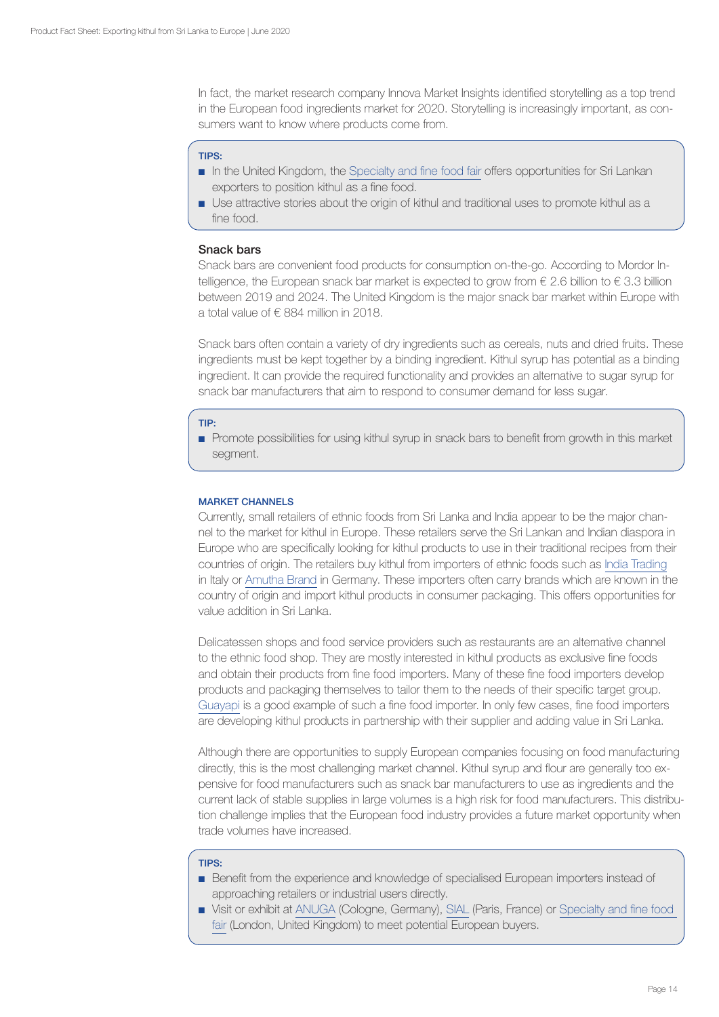In fact, the market research company Innova Market Insights identified storytelling as a top trend in the European food ingredients market for 2020. Storytelling is increasingly important, as consumers want to know where products come from.

#### TIPS:

- In the United Kingdom, the [Specialty and fine food fair](https://www.specialityandfinefoodfairs.co.uk/) offers opportunities for Sri Lankan exporters to position kithul as a fine food.
- Use attractive stories about the origin of kithul and traditional uses to promote kithul as a fine food.

## Snack bars

Snack bars are convenient food products for consumption on-the-go. According to Mordor Intelligence, the European snack bar market is expected to grow from  $\epsilon$  2.6 billion to  $\epsilon$  3.3 billion between 2019 and 2024. The United Kingdom is the major snack bar market within Europe with a total value of € 884 million in 2018.

Snack bars often contain a variety of dry ingredients such as cereals, nuts and dried fruits. These ingredients must be kept together by a binding ingredient. Kithul syrup has potential as a binding ingredient. It can provide the required functionality and provides an alternative to sugar syrup for snack bar manufacturers that aim to respond to consumer demand for less sugar.

## TIP:

■ Promote possibilities for using kithul syrup in snack bars to benefit from growth in this market segment.

#### MARKET CHANNELS

Currently, small retailers of ethnic foods from Sri Lanka and India appear to be the major channel to the market for kithul in Europe. These retailers serve the Sri Lankan and Indian diaspora in Europe who are specifically looking for kithul products to use in their traditional recipes from their countries of origin. The retailers buy kithul from importers of ethnic foods such as [India Trading](http://www.indiatradingsrl.com) in Italy or [Amutha Brand](http://www.amuthabrand.com/) in Germany. These importers often carry brands which are known in the country of origin and import kithul products in consumer packaging. This offers opportunities for value addition in Sri Lanka.

Delicatessen shops and food service providers such as restaurants are an alternative channel to the ethnic food shop. They are mostly interested in kithul products as exclusive fine foods and obtain their products from fine food importers. Many of these fine food importers develop products and packaging themselves to tailor them to the needs of their specific target group. [Guayapi](https://www.guayapi.com/nos-produits/seve-de-kitul/) is a good example of such a fine food importer. In only few cases, fine food importers are developing kithul products in partnership with their supplier and adding value in Sri Lanka.

Although there are opportunities to supply European companies focusing on food manufacturing directly, this is the most challenging market channel. Kithul syrup and flour are generally too expensive for food manufacturers such as snack bar manufacturers to use as ingredients and the current lack of stable supplies in large volumes is a high risk for food manufacturers. This distribution challenge implies that the European food industry provides a future market opportunity when trade volumes have increased.

#### TIPS:

- Benefit from the experience and knowledge of specialised European importers instead of approaching retailers or industrial users directly.
- Visit or exhibit at [ANUGA](https://www.anuga.com/) (Cologne, Germany), [SIAL](https://www.sialparis.com/) (Paris, France) or Specialty and fine food [fair](https://www.specialityandfinefoodfairs.co.uk/) (London, United Kingdom) to meet potential European buyers.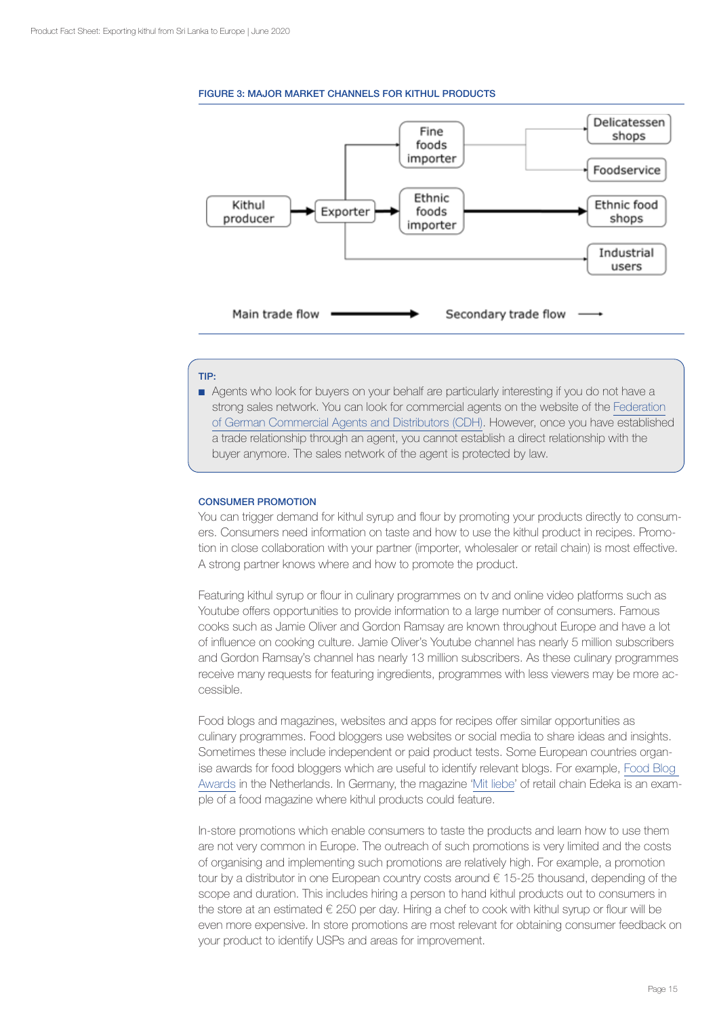#### FIGURE 3: MAJOR MARKET CHANNELS FOR KITHUL PRODUCTS



# TIP:

■ Agents who look for buyers on your behalf are particularly interesting if you do not have a strong sales network. You can look for commercial agents on the website of the [Federation](http://en.cdh.de/) [of German Commercial Agents and Distributors \(CDH\).](http://en.cdh.de/) However, once you have established a trade relationship through an agent, you cannot establish a direct relationship with the buyer anymore. The sales network of the agent is protected by law.

#### CONSUMER PROMOTION

You can trigger demand for kithul syrup and flour by promoting your products directly to consumers. Consumers need information on taste and how to use the kithul product in recipes. Promotion in close collaboration with your partner (importer, wholesaler or retail chain) is most effective. A strong partner knows where and how to promote the product.

Featuring kithul syrup or flour in culinary programmes on tv and online video platforms such as Youtube offers opportunities to provide information to a large number of consumers. Famous cooks such as Jamie Oliver and Gordon Ramsay are known throughout Europe and have a lot of influence on cooking culture. Jamie Oliver's Youtube channel has nearly 5 million subscribers and Gordon Ramsay's channel has nearly 13 million subscribers. As these culinary programmes receive many requests for featuring ingredients, programmes with less viewers may be more accessible.

Food blogs and magazines, websites and apps for recipes offer similar opportunities as culinary programmes. Food bloggers use websites or social media to share ideas and insights. Sometimes these include independent or paid product tests. Some European countries organise awards for food bloggers which are useful to identify relevant blogs. For example, [Food Blog](https://foodblogawards.nl/)  [Awards](https://foodblogawards.nl/) in the Netherlands. In Germany, the magazine '[Mit liebe](https://www.edeka.de/services/mit-liebe-kundenmagazin/aus-dem-mit-liebe-magazin/kundenmagazin_mit_liebe.jsp)' of retail chain Edeka is an example of a food magazine where kithul products could feature.

In-store promotions which enable consumers to taste the products and learn how to use them are not very common in Europe. The outreach of such promotions is very limited and the costs of organising and implementing such promotions are relatively high. For example, a promotion tour by a distributor in one European country costs around € 15-25 thousand, depending of the scope and duration. This includes hiring a person to hand kithul products out to consumers in the store at an estimated  $\epsilon$  250 per day. Hiring a chef to cook with kithul syrup or flour will be even more expensive. In store promotions are most relevant for obtaining consumer feedback on your product to identify USPs and areas for improvement.